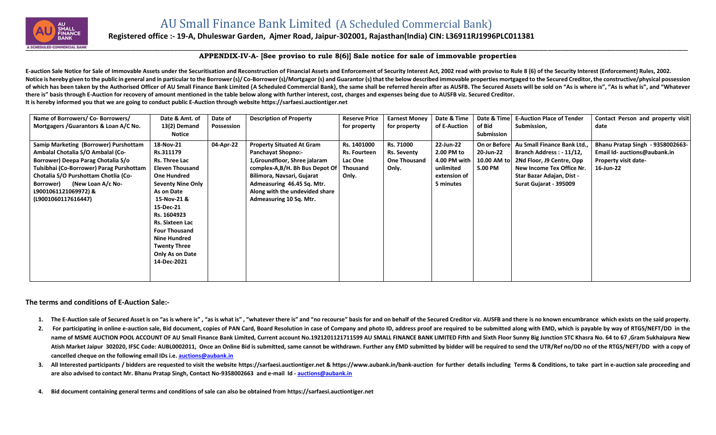

## **Registered office :- 19-A, Dhuleswar Garden, Ajmer Road, Jaipur-302001, Rajasthan(India) CIN: L36911RJ1996PLC011381**

## **APPENDIX-IV-A- [See proviso to rule 8(6)] Sale notice for sale of immovable properties**

E-auction Sale Notice for Sale of Immovable Assets under the Securitisation and Reconstruction of Financial Assets and Enforcement of Security Interest Act, 2002 read with proviso to Rule 8 (6) of the Security Interest (En Notice is hereby given to the public in general and in particular to the Borrower (s)/Co-Borrower (s)/Mortgagor (s) and Guarantor (s) that the below described immovable properties mortgaged to the Secured Creditor, the con of which has been taken by the Authorised Officer of AU Small Finance Bank Limited {A Scheduled Commercial Bank}, the same shall be referred herein after as AUSFB. The Secured Assets will be sold on "As is where is", "As i **there is" basis through E-Auction for recovery of amount mentioned in the table below along with further interest, cost, charges and expenses being due to AUSFB viz. Secured Creditor. It is hereby informed you that we are going to conduct public E-Auction through website [https://sarfaesi.auctiontiger.net](https://sarfaesi.auctiontiger.net/)** 

| Name of Borrowers/ Co- Borrowers/<br>Mortgagers / Guarantors & Loan A/C No.                                                                                                                                                                                                           | Date & Amt. of<br>13(2) Demand<br>Notice                                                                                                                                                                                                                                                                       | Date of<br>Possession | <b>Description of Property</b>                                                                                                                                                                                                                            | <b>Reserve Price</b><br>for property                                      | <b>Earnest Money</b><br>for property                     | Date & Time<br>of E-Auction                                                       | Date & Time<br>of Bid<br><b>Submission</b>          | <b>E-Auction Place of Tender</b><br>Submission,                                                                                                                        | Contact Person and property visit<br>date                                                                    |
|---------------------------------------------------------------------------------------------------------------------------------------------------------------------------------------------------------------------------------------------------------------------------------------|----------------------------------------------------------------------------------------------------------------------------------------------------------------------------------------------------------------------------------------------------------------------------------------------------------------|-----------------------|-----------------------------------------------------------------------------------------------------------------------------------------------------------------------------------------------------------------------------------------------------------|---------------------------------------------------------------------------|----------------------------------------------------------|-----------------------------------------------------------------------------------|-----------------------------------------------------|------------------------------------------------------------------------------------------------------------------------------------------------------------------------|--------------------------------------------------------------------------------------------------------------|
| Samip Marketing (Borrower) Purshottam<br>Ambalal Chotalia S/O Ambalal (Co-<br>Borrower) Deepa Parag Chotalia S/o<br>Tulsibhai (Co-Borrower) Parag Purshottam<br>Chotalia S/O Purshottam Chotlia (Co-<br>(New Loan A/c No-<br>Borrower)<br>L9001061121069972) &<br>(L9001060117616447) | 18-Nov-21<br>Rs.311179<br>Rs. Three Lac<br><b>Eleven Thousand</b><br><b>One Hundred</b><br><b>Seventy Nine Only</b><br>As on Date<br>15-Nov-21 &<br>15-Dec-21<br>Rs. 1604923<br>Rs. Sixteen Lac<br><b>Four Thousand</b><br><b>Nine Hundred</b><br><b>Twenty Three</b><br><b>Only As on Date</b><br>14-Dec-2021 | 04-Apr-22             | <b>Property Situated At Gram</b><br><b>Panchayat Shopno:-</b><br>1, Groundfloor, Shree jalaram<br>complex-A,B/H. Bh Bus Depot Of<br>Bilimora, Navsari, Gujarat<br>Admeasuring 46.45 Sq. Mtr.<br>Along with the undevided share<br>Admeasuring 10 Sq. Mtr. | Rs. 1401000<br><b>Rs. Fourteen</b><br><b>Lac One</b><br>Thousand<br>Only. | Rs. 71000<br><b>Rs. Seventy</b><br>One Thousand<br>Only. | 22-Jun-22<br>2.00 PM to<br>4.00 PM with<br>unlimited<br>extension of<br>5 minutes | On or Before<br>20-Jun-22<br>10.00 AM to<br>5.00 PM | Au Small Finance Bank Ltd<br>Branch Address: - 11/12,<br>2Nd Floor, J9 Centre, Opp<br>New Income Tex Office Nr.<br>Star Bazar Adajan, Dist -<br>Surat Gujarat - 395009 | Bhanu Pratap Singh - 9358002663-<br>Email Id- auctions@aubank.in<br><b>Property visit date-</b><br>16-Jun-22 |

## **The terms and conditions of E-Auction Sale:-**

- 1. The E-Auction sale of Secured Asset is on "as is where is", "as is what is", "whatever there is" and "no recourse" basis for and on behalf of the Secured Creditor viz. AUSFB and there is no known encumbrance which exist
- 2. For participating in online e-auction sale, Bid document, copies of PAN Card, Board Resolution in case of Company and photo ID, address proof are required to be submitted along with EMD, which is payable by way of RTGS/ name of MSME AUCTION POOL ACCOUNT OF AU Small Finance Bank Limited, Current account No.1921201121711599 AU SMALL FINANCE BANK LIMITED Fifth and Sixth Floor Sunny Big Junction STC Khasra No. 64 to 67, Gram Sukhaipura New Atish Market Jaipur 302020, IFSC Code: AUBL0002011, Once an Online Bid is submitted, same cannot be withdrawn. Further any EMD submitted by bidder will be required to send the UTR/Ref no/DD no of the RTGS/NEFT/DD with a co **cancelled cheque on the following email IDs i.e. [auctions@aubank.in](mailto:auctions@aubank.in)**
- 3. All Interested participants / bidders are requested to visit the website [https://sarfaesi.auctiontiger.net](https://sarfaesi.auctiontiger.net/) & https://www.aubank.in/bank-auction for further details including Terms & Conditions, to take part in e-auction **are also advised to contact Mr. Bhanu Pratap Singh, Contact No-9358002663 and e-mail Id - [auctions@aubank.in](mailto:auctions@aubank.in)**
- **4. Bid document containing general terms and conditions of sale can also be obtained fro[m https://sarfaesi.auctiontiger.net](https://edelweissarc.auctiontiger.net/)**